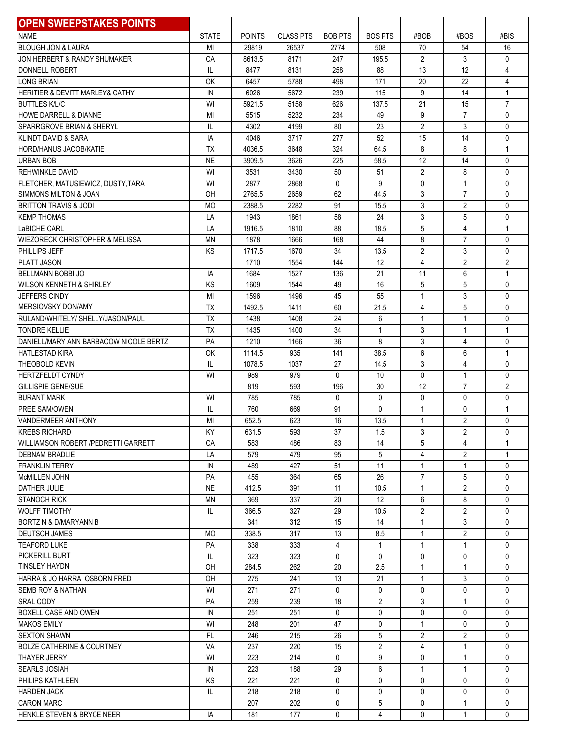| <b>OPEN SWEEPSTAKES POINTS</b>               |              |               |                  |                    |                     |                                |                              |                              |
|----------------------------------------------|--------------|---------------|------------------|--------------------|---------------------|--------------------------------|------------------------------|------------------------------|
| <b>NAME</b>                                  | <b>STATE</b> | <b>POINTS</b> | <b>CLASS PTS</b> | <b>BOB PTS</b>     | <b>BOS PTS</b>      | #BOB                           | #BOS                         | #BIS                         |
| <b>BLOUGH JON &amp; LAURA</b>                | MI           | 29819         | 26537            | 2774               | 508                 | 70                             | 54                           | 16                           |
| JON HERBERT & RANDY SHUMAKER                 | CA           | 8613.5        | 8171             | 247                | 195.5               | $\overline{2}$                 | 3                            | 0                            |
| DONNELL ROBERT                               | IL           | 8477          | 8131             | 258                | 88                  | 13                             | 12                           | 4                            |
| <b>LONG BRIAN</b>                            | OK           | 6457          | 5788             | 498                | 171                 | 20                             | 22                           | 4                            |
| HERITIER & DEVITT MARLEY& CATHY              | IN           | 6026          | 5672             | 239                | 115                 | 9                              | 14                           | $\mathbf{1}$                 |
| <b>BUTTLES K/L/C</b>                         | WI           | 5921.5        | 5158             | 626                | 137.5               | 21                             | 15                           | $\overline{7}$               |
| HOWE DARRELL & DIANNE                        | MI           | 5515          | 5232             | 234                | 49                  | 9                              | $\overline{7}$               | 0                            |
| <b>SPARRGROVE BRIAN &amp; SHERYL</b>         | IL           | 4302          | 4199             | 80                 | 23                  | $\overline{2}$                 | 3                            | 0                            |
| KLINDT DAVID & SARA                          | IA           | 4046          | 3717             | 277                | 52                  | 15                             | 14                           | 0                            |
| <b>HORD/HANUS JACOB/KATIE</b>                | <b>TX</b>    | 4036.5        | 3648             | 324                | 64.5                | 8                              | 8                            | $\mathbf{1}$                 |
| <b>URBAN BOB</b>                             | <b>NE</b>    | 3909.5        | 3626             | 225                | 58.5                | 12                             | 14                           | 0                            |
| REHWINKLE DAVID                              | WI           | 3531          | 3430             | 50                 | 51                  | $\overline{2}$                 | 8                            | 0                            |
| FLETCHER, MATUSIEWICZ, DUSTY, TARA           | WI           | 2877          | 2868             | $\mathbf{0}$       | 9                   | $\mathbf{0}$                   | $\overline{1}$               | 0                            |
| SIMMONS MILTON & JOAN                        | OH           | 2765.5        | 2659             | 62                 | 44.5                | 3                              | $\overline{7}$               | 0                            |
| <b>BRITTON TRAVIS &amp; JODI</b>             | <b>MO</b>    | 2388.5        | 2282             | 91                 | 15.5                | 3                              | $\overline{2}$               | 0                            |
| <b>KEMP THOMAS</b>                           | LA           | 1943          | 1861             | 58                 | 24                  | 3                              | 5                            | 0                            |
| LaBICHE CARL                                 | LA           | 1916.5        | 1810             | 88                 | 18.5                | 5                              | $\overline{4}$               | $\mathbf{1}$                 |
| <b>WIEZORECK CHRISTOPHER &amp; MELISSA</b>   | <b>MN</b>    | 1878          | 1666             | 168                | 44                  | 8                              | $\overline{7}$               | 0                            |
| PHILLIPS JEFF                                | ΚS           | 1717.5        | 1670             | 34                 | 13.5                | $\overline{2}$                 | 3                            | 0                            |
| PLATT JASON                                  |              | 1710          | 1554             | 144                | 12                  | $\overline{4}$                 | $\overline{2}$               | $\overline{2}$               |
| <b>BELLMANN BOBBI JO</b>                     | IA           | 1684          | 1527             | 136                | 21                  | 11                             | 6                            | $\mathbf{1}$                 |
| <b>WILSON KENNETH &amp; SHIRLEY</b>          | KS           | 1609          | 1544             | 49                 | 16                  | 5                              | 5                            | 0                            |
| <b>JEFFERS CINDY</b>                         | MI           | 1596          | 1496             | 45                 | 55                  | $\mathbf{1}$                   | 3                            | 0                            |
| <b>MERSIOVSKY DON/AMY</b>                    | <b>TX</b>    | 1492.5        | 1411             | 60                 | 21.5                | 4                              | 5                            | 0                            |
| RULAND/WHITELY/ SHELLY/JASON/PAUL            | <b>TX</b>    | 1438          | 1408             | 24                 | 6                   | $\mathbf{1}$                   | $\mathbf{1}$                 | 0                            |
| <b>TONDRE KELLIE</b>                         | <b>TX</b>    | 1435          | 1400             | 34                 | $\mathbf{1}$        | 3                              | $\mathbf{1}$                 | $\mathbf{1}$                 |
| DANIELL/MARY ANN BARBACOW NICOLE BERTZ       | PA           | 1210          | 1166             | 36                 | 8                   | 3                              | $\overline{4}$               | 0                            |
| <b>HATLESTAD KIRA</b>                        | OK           | 1114.5        | 935              | 141                | 38.5                | 6                              | 6                            | $\mathbf{1}$                 |
| THEOBOLD KEVIN                               | IL           | 1078.5        | 1037             | 27                 | 14.5                | 3                              | $\overline{4}$               | 0                            |
| <b>HERTZFELDT CYNDY</b>                      | WI           | 989           | 979              | 0                  | 10                  | $\mathbf{0}$                   | $\mathbf{1}$                 | 0                            |
| <b>GILLISPIE GENE/SUE</b>                    |              | 819           | 593              | 196                | 30                  | 12                             | $\overline{7}$               | $\overline{2}$               |
| <b>BURANT MARK</b>                           | WI           | 785           | 785              | 0                  | $\mathbf{0}$        | $\mathbf{0}$                   | $\mathbf{0}$                 | 0                            |
| <b>PREE SAM/OWEN</b>                         | IL           | 760           | 669              | 91                 | $\mathbf{0}$        | $\mathbf{1}$                   | $\mathbf{0}$                 | $\mathbf{1}$                 |
| <b>VANDERMEER ANTHONY</b>                    | MI           | 652.5         | 623              | 16                 | 13.5                | $\mathbf{1}$                   | $\overline{2}$               | 0                            |
| <b>KREBS RICHARD</b>                         | KY           | 631.5         | 593              | 37                 | 1.5                 | 3                              | $\overline{2}$               | $\mathbf{0}$                 |
| WILLIAMSON ROBERT / PEDRETTI GARRETT         | СA           | 583           | 486              | 83                 | 14                  | 5                              | 4                            | 1                            |
| <b>DEBNAM BRADLIE</b>                        | LA           | 579           | 479              | 95                 | 5                   | 4                              | 2                            | $\mathbf{1}$                 |
| <b>FRANKLIN TERRY</b>                        | IN           | 489           | 427              | 51                 | 11                  | $\mathbf{1}$                   | 1                            | $\mathbf{0}$                 |
| McMILLEN JOHN                                | PA           | 455           | 364              | 65                 | 26                  | $\overline{7}$                 | 5                            | $\mathbf{0}$                 |
| DATHER JULIE                                 | <b>NE</b>    | 412.5         | 391              | 11                 | 10.5                | $\mathbf{1}$                   | $\overline{2}$               | $\mathbf{0}$                 |
| <b>STANOCH RICK</b>                          | <b>MN</b>    | 369           | 337              | 20                 | 12                  | 6                              | 8                            | $\mathbf{0}$                 |
| <b>WOLFF TIMOTHY</b>                         | IL           | 366.5         | 327              | 29                 | 10.5                | $\overline{2}$                 | $\overline{2}$               | $\mathbf{0}$                 |
| BORTZ N & D/MARYANN B                        |              | 341           | 312              | 15                 | 14                  | $\mathbf{1}$                   | 3                            | $\mathbf{0}$                 |
| <b>DEUTSCH JAMES</b>                         | <b>MO</b>    | 338.5         | 317              | 13                 | 8.5                 | $\mathbf{1}$                   | $\overline{2}$               | $\mathbf{0}$                 |
| <b>TEAFORD LUKE</b><br><b>PICKERILL BURT</b> | PA           | 338           | 333              | 4                  | $\mathbf{1}$        | $\mathbf{1}$                   | $\mathbf{1}$                 | $\mathbf{0}$                 |
| <b>TINSLEY HAYDN</b>                         | IL           | 323           | 323              | $\mathbf{0}$       | $\mathbf{0}$        | 0                              | $\mathbf{0}$                 | $\mathbf{0}$                 |
|                                              | OH           | 284.5         | 262              | 20                 | 2.5                 | $\mathbf{1}$                   | $\mathbf{1}$                 | $\mathbf{0}$                 |
| HARRA & JO HARRA OSBORN FRED                 | OH           | 275           | 241              | 13                 | 21                  | $\mathbf{1}$                   | 3                            | $\mathbf{0}$                 |
| <b>SEMB ROY &amp; NATHAN</b>                 | WI           | 271           | 271              | $\mathbf{0}$<br>18 | 0                   | 0                              | 0                            | $\mathbf{0}$                 |
| <b>SRAL CODY</b><br>BOXELL CASE AND OWEN     | PA           | 259           | 239              |                    | $\overline{2}$<br>0 | 3                              | $\mathbf{1}$<br>$\mathbf{0}$ | $\mathbf{0}$<br>$\mathbf{0}$ |
|                                              | ${\sf IN}$   | 251           | 251              | 0                  |                     | 0                              |                              |                              |
| <b>MAKOS EMILY</b><br><b>SEXTON SHAWN</b>    | WI<br>FL     | 248<br>246    | 201<br>215       | 47<br>26           | 0<br>5              | $\mathbf{1}$<br>$\overline{2}$ | 0<br>$\overline{2}$          | $\mathbf{0}$<br>$\mathbf{0}$ |
|                                              |              |               |                  |                    | $\overline{2}$      | 4                              | $\mathbf{1}$                 | $\mathbf{0}$                 |
| <b>BOLZE CATHERINE &amp; COURTNEY</b>        | VA           | 237           | 220              | 15<br>$\mathbf{0}$ | 9                   |                                | $\mathbf{1}$                 | $\mathbf{0}$                 |
| <b>THAYER JERRY</b>                          | WI           | 223           | 214              | 29                 | 6                   | 0<br>$\mathbf{1}$              | $\mathbf{1}$                 | $\mathbf{0}$                 |
| <b>SEARLS JOSIAH</b><br>PHILIPS KATHLEEN     | ${\sf IN}$   | 223           | 188              |                    |                     |                                |                              | $\mathbf{0}$                 |
| <b>HARDEN JACK</b>                           | KS           | 221           | 221              | 0                  | 0                   | 0                              | 0                            | $\mathbf{0}$                 |
| <b>CARON MARC</b>                            | IL           | 218           | 218              | 0                  | $\mathbf 0$         | 0                              | 0<br>$\mathbf{1}$            | $\mathbf{0}$                 |
| HENKLE STEVEN & BRYCE NEER                   |              | 207<br>181    | 202<br>177       | 0<br>0             | 5<br>4              | 0<br>0                         | $\mathbf{1}$                 | 0                            |
|                                              | IA           |               |                  |                    |                     |                                |                              |                              |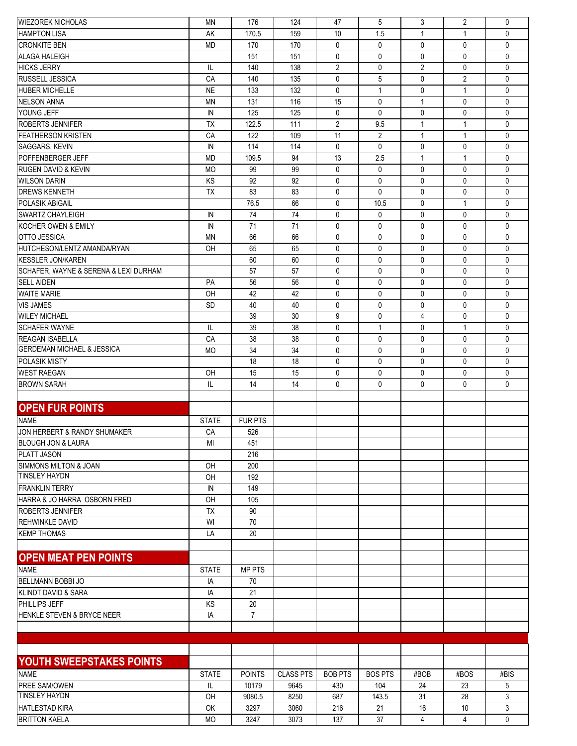| <b>WIEZOREK NICHOLAS</b>                            | ΜN           | 176            | 124              | 47             | 5              | 3              | 2              | 0            |
|-----------------------------------------------------|--------------|----------------|------------------|----------------|----------------|----------------|----------------|--------------|
| <b>HAMPTON LISA</b>                                 | AK           | 170.5          | 159              | 10             | 1.5            | $\mathbf{1}$   | -1             | $\Omega$     |
| <b>CRONKITE BEN</b>                                 | <b>MD</b>    | 170            | 170              | 0              | 0              | $\mathbf{0}$   | 0              | $\mathbf{0}$ |
| <b>ALAGA HALEIGH</b>                                |              | 151            | 151              | 0              | 0              | $\mathbf{0}$   | 0              | $\mathbf{0}$ |
| <b>HICKS JERRY</b>                                  | IL           | 140            | 138              | $\overline{2}$ | 0              | $\overline{2}$ | 0              | $\mathbf{0}$ |
| <b>RUSSELL JESSICA</b>                              | CA           | 140            | 135              | $\mathbf{0}$   | 5              | $\mathbf{0}$   | $\overline{2}$ | $\mathbf{0}$ |
| <b>HUBER MICHELLE</b>                               | <b>NE</b>    | 133            | 132              | 0              | 1              | $\mathbf 0$    | $\mathbf{1}$   | $\mathbf{0}$ |
| <b>NELSON ANNA</b>                                  | <b>MN</b>    | 131            | 116              | 15             | 0              | $\mathbf{1}$   | 0              | $\mathbf{0}$ |
| YOUNG JEFF                                          | IN           | 125            | 125              | 0              | 0              | $\mathbf{0}$   | 0              | $\mathbf{0}$ |
| <b>ROBERTS JENNIFER</b>                             | <b>TX</b>    | 122.5          | 111              | $\overline{2}$ | 9.5            | $\mathbf{1}$   | $\mathbf 1$    | $\mathbf{0}$ |
| <b>FEATHERSON KRISTEN</b>                           | CA           | 122            | 109              | 11             | $\overline{2}$ | $\mathbf{1}$   | $\mathbf{1}$   | $\mathbf{0}$ |
| SAGGARS, KEVIN                                      | IN           | 114            | 114              | 0              | 0              | $\mathbf{0}$   | 0              | $\mathbf{0}$ |
| <b>POFFENBERGER JEFF</b>                            | <b>MD</b>    | 109.5          | 94               | 13             | 2.5            | $\mathbf{1}$   | $\mathbf{1}$   | $\mathbf{0}$ |
| <b>RUGEN DAVID &amp; KEVIN</b>                      | <b>MO</b>    | 99             | 99               | 0              | 0              | $\mathbf{0}$   | 0              | $\mathbf{0}$ |
| <b>WILSON DARIN</b>                                 | KS           | 92             | 92               | 0              | 0              | $\mathbf{0}$   | 0              | $\mathbf{0}$ |
|                                                     |              |                |                  |                |                | $\mathbf{0}$   |                |              |
| <b>DREWS KENNETH</b>                                | TX           | 83             | 83               | 0              | 0              |                | 0              | $\mathbf{0}$ |
| <b>POLASIK ABIGAIL</b>                              |              | 76.5           | 66               | 0              | 10.5           | $\mathbf{0}$   | $\mathbf{1}$   | $\mathbf{0}$ |
| <b>SWARTZ CHAYLEIGH</b>                             | IN           | 74             | 74               | 0              | 0              | $\mathbf{0}$   | 0              | $\mathbf{0}$ |
| KOCHER OWEN & EMILY                                 | IN           | 71             | 71               | 0              | 0              | $\mathbf{0}$   | 0              | $\mathbf{0}$ |
| <b>OTTO JESSICA</b>                                 | <b>MN</b>    | 66             | 66               | 0              | 0              | $\mathbf{0}$   | 0              | $\mathbf{0}$ |
| HUTCHESON/LENTZ AMANDA/RYAN                         | OH           | 65             | 65               | 0              | 0              | $\mathbf{0}$   | 0              | $\mathbf{0}$ |
| <b>KESSLER JON/KAREN</b>                            |              | 60             | 60               | 0              | 0              | $\mathbf{0}$   | 0              | $\mathbf{0}$ |
| SCHAFER, WAYNE & SERENA & LEXI DURHAM               |              | 57             | 57               | 0              | 0              | $\mathbf{0}$   | 0              | $\mathbf{0}$ |
| <b>SELL AIDEN</b>                                   | PA           | 56             | 56               | 0              | 0              | $\mathbf{0}$   | 0              | $\mathbf{0}$ |
| <b>WAITE MARIE</b>                                  | OH           | 42             | 42               | 0              | 0              | $\mathbf{0}$   | 0              | $\mathbf{0}$ |
| <b>VIS JAMES</b>                                    | <b>SD</b>    | 40             | 40               | 0              | 0              | $\mathbf{0}$   | 0              | $\mathbf{0}$ |
| <b>WILEY MICHAEL</b>                                |              | 39             | 30               | 9              | 0              | $\overline{4}$ | 0              | $\mathbf{0}$ |
| <b>SCHAFER WAYNE</b>                                | IL           | 39             | 38               | 0              | 1              | $\mathbf{0}$   | $\mathbf{1}$   | $\mathbf{0}$ |
| <b>REAGAN ISABELLA</b>                              | CA           | 38             | 38               | 0              | 0              | $\mathbf{0}$   | 0              | $\mathbf{0}$ |
| <b>GERDEMAN MICHAEL &amp; JESSICA</b>               | <b>MO</b>    | 34             | 34               | 0              | 0              | $\mathbf{0}$   | 0              | $\mathbf{0}$ |
| POLASIK MISTY                                       |              | 18             | 18               | 0              | 0              | $\mathbf 0$    | 0              | $\mathbf{0}$ |
| <b>WEST RAEGAN</b>                                  | OH           | 15             | 15               | 0              | 0              | $\mathbf{0}$   | $\mathbf{0}$   | 0            |
| <b>BROWN SARAH</b>                                  | IL           | 14             | 14               | 0              | 0              | $\mathbf{0}$   | 0              | 0            |
|                                                     |              |                |                  |                |                |                |                |              |
| <b>OPEN FUR POINTS</b>                              |              |                |                  |                |                |                |                |              |
| <b>NAME</b>                                         | <b>STATE</b> | <b>FUR PTS</b> |                  |                |                |                |                |              |
| JON HERBERT & RANDY SHUMAKER                        | CA           | 526            |                  |                |                |                |                |              |
|                                                     |              |                |                  |                |                |                |                |              |
| <b>BLOUGH JON &amp; LAURA</b><br><b>PLATT JASON</b> | MI           | 451<br>216     |                  |                |                |                |                |              |
|                                                     |              |                |                  |                |                |                |                |              |
| SIMMONS MILTON & JOAN<br><b>TINSLEY HAYDN</b>       | <b>OH</b>    | 200            |                  |                |                |                |                |              |
|                                                     | OH           | 192            |                  |                |                |                |                |              |
| <b>FRANKLIN TERRY</b>                               | IN           | 149            |                  |                |                |                |                |              |
| HARRA & JO HARRA OSBORN FRED                        | OH           | 105            |                  |                |                |                |                |              |
| <b>ROBERTS JENNIFER</b>                             | TX           | 90             |                  |                |                |                |                |              |
| <b>REHWINKLE DAVID</b>                              | WI           | $70\,$         |                  |                |                |                |                |              |
| <b>KEMP THOMAS</b>                                  | LA           | 20             |                  |                |                |                |                |              |
|                                                     |              |                |                  |                |                |                |                |              |
| <b>OPEN MEAT PEN POINTS</b>                         |              |                |                  |                |                |                |                |              |
| <b>NAME</b>                                         | <b>STATE</b> | <b>MP PTS</b>  |                  |                |                |                |                |              |
| BELLMANN BOBBI JO                                   | IA           | 70             |                  |                |                |                |                |              |
| KLINDT DAVID & SARA                                 | IA           | 21             |                  |                |                |                |                |              |
| PHILLIPS JEFF                                       | KS           | 20             |                  |                |                |                |                |              |
| HENKLE STEVEN & BRYCE NEER                          | IA           | $\overline{7}$ |                  |                |                |                |                |              |
|                                                     |              |                |                  |                |                |                |                |              |
|                                                     |              |                |                  |                |                |                |                |              |
|                                                     |              |                |                  |                |                |                |                |              |
| YOUTH SWEEPSTAKES POINTS                            |              |                |                  |                |                |                |                |              |
| <b>NAME</b>                                         | <b>STATE</b> | <b>POINTS</b>  | <b>CLASS PTS</b> | <b>BOB PTS</b> | <b>BOS PTS</b> | #BOB           | #BOS           | #BIS         |
| PREE SAM/OWEN                                       | IL.          | 10179          | 9645             | 430            | 104            | 24             | 23             | 5            |
| <b>TINSLEY HAYDN</b>                                | OH           | 9080.5         | 8250             | 687            | 143.5          | 31             | 28             | 3            |
| <b>HATLESTAD KIRA</b>                               | OK           | 3297           | 3060             | 216            | 21             | 16             | 10             | 3            |
| <b>BRITTON KAELA</b>                                | <b>MO</b>    | 3247           | 3073             | 137            | 37             | 4              | 4              | $\mathbf{0}$ |
|                                                     |              |                |                  |                |                |                |                |              |